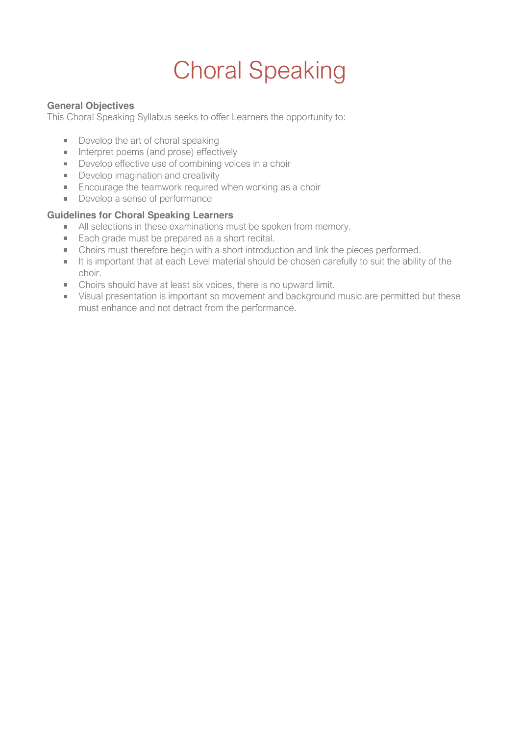# Choral Speaking

#### **General Objectives**

This Choral Speaking Syllabus seeks to offer Learners the opportunity to:

- Develop the art of choral speaking
- Interpret poems (and prose) effectively
- Develop effective use of combining voices in a choir
- Develop imagination and creativity
- **Encourage the teamwork required when working as a choir**
- Develop a sense of performance

#### **Guidelines for Choral Speaking Learners**

- All selections in these examinations must be spoken from memory.
- Each grade must be prepared as a short recital.
- Choirs must therefore begin with a short introduction and link the pieces performed.
- It is important that at each Level material should be chosen carefully to suit the ability of the choir.
- Choirs should have at least six voices, there is no upward limit.
- Visual presentation is important so movement and background music are permitted but these must enhance and not detract from the performance.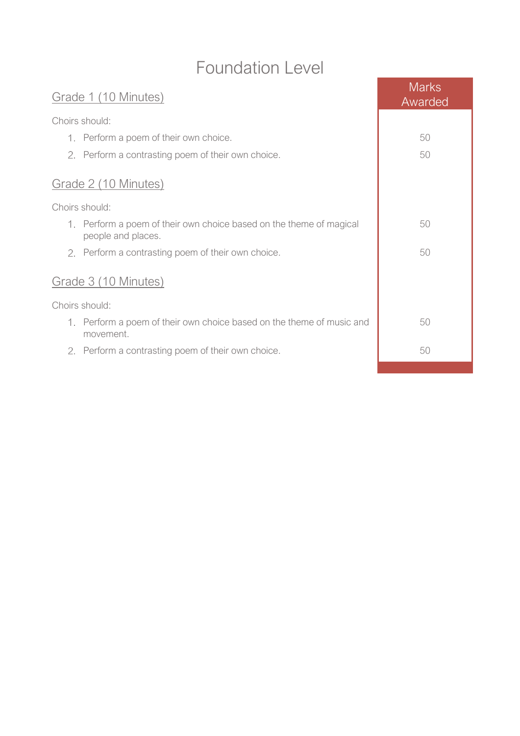# Foundation Level

| Grade 1 (10 Minutes)                                                                      | <b>Marks</b><br>Awarded |
|-------------------------------------------------------------------------------------------|-------------------------|
| Choirs should:                                                                            |                         |
| 1. Perform a poem of their own choice.                                                    | 50                      |
| 2. Perform a contrasting poem of their own choice.                                        | 50                      |
| Grade 2 (10 Minutes)                                                                      |                         |
| Choirs should:                                                                            |                         |
| 1. Perform a poem of their own choice based on the theme of magical<br>people and places. | 50                      |
| 2. Perform a contrasting poem of their own choice.                                        | 50                      |
| Grade 3 (10 Minutes)                                                                      |                         |
| Choirs should:                                                                            |                         |
| 1. Perform a poem of their own choice based on the theme of music and<br>movement.        | 50                      |
| 2. Perform a contrasting poem of their own choice.                                        | 50                      |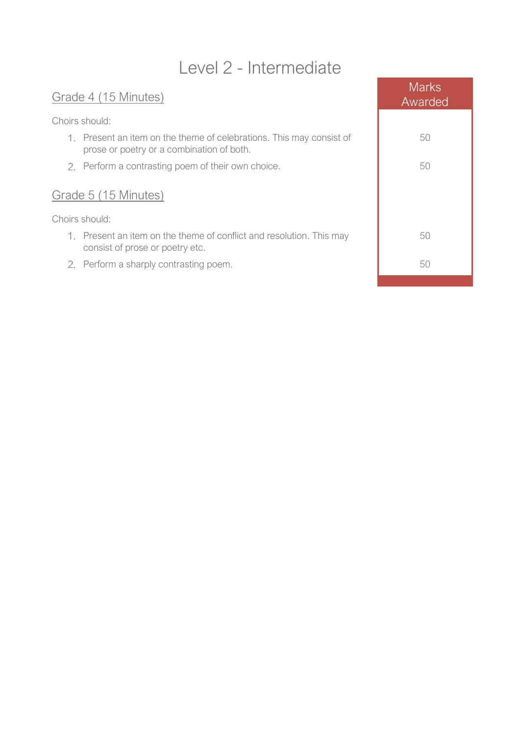## Level 2 - Intermediate

### Grade 4 (15 Minutes)

Choirs should:

- 1. Present an item on the theme of celebrations. This may consist of prose or poetry or a combination of both.
- 2. Perform a contrasting poem of their own choice.

### Grade 5 (15 Minutes)

Choirs should:

- 1. Present an item on the theme of conflict and resolution. This may consist of prose or poetry etc.
- 2. Perform a sharply contrasting poem.

| <b>Marks</b><br>Awarded |
|-------------------------|
| 50                      |
| 50                      |
|                         |
| 50                      |
| 50                      |
|                         |